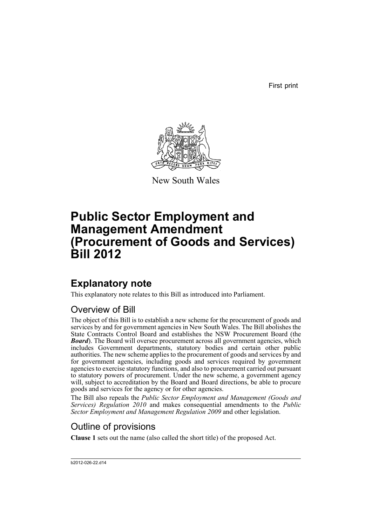First print



New South Wales

# **Public Sector Employment and Management Amendment (Procurement of Goods and Services) Bill 2012**

## **Explanatory note**

This explanatory note relates to this Bill as introduced into Parliament.

## Overview of Bill

The object of this Bill is to establish a new scheme for the procurement of goods and services by and for government agencies in New South Wales. The Bill abolishes the State Contracts Control Board and establishes the NSW Procurement Board (the *Board*). The Board will oversee procurement across all government agencies, which includes Government departments, statutory bodies and certain other public authorities. The new scheme applies to the procurement of goods and services by and for government agencies, including goods and services required by government agencies to exercise statutory functions, and also to procurement carried out pursuant to statutory powers of procurement. Under the new scheme, a government agency will, subject to accreditation by the Board and Board directions, be able to procure goods and services for the agency or for other agencies.

The Bill also repeals the *Public Sector Employment and Management (Goods and Services) Regulation 2010* and makes consequential amendments to the *Public Sector Employment and Management Regulation 2009* and other legislation.

## Outline of provisions

**Clause 1** sets out the name (also called the short title) of the proposed Act.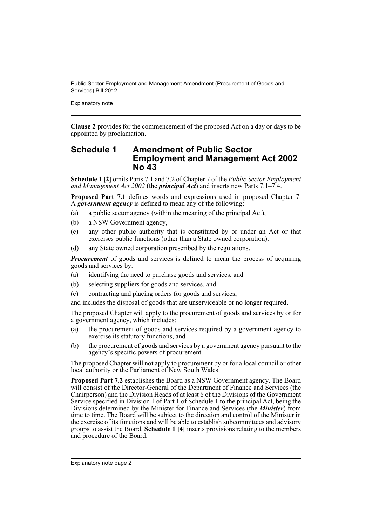Explanatory note

**Clause 2** provides for the commencement of the proposed Act on a day or days to be appointed by proclamation.

## **Schedule 1 Amendment of Public Sector Employment and Management Act 2002 No 43**

**Schedule 1 [2]** omits Parts 7.1 and 7.2 of Chapter 7 of the *Public Sector Employment and Management Act 2002* (the *principal Act*) and inserts new Parts 7.1–7.4.

**Proposed Part 7.1** defines words and expressions used in proposed Chapter 7. A *government agency* is defined to mean any of the following:

- (a) a public sector agency (within the meaning of the principal Act),
- (b) a NSW Government agency,
- (c) any other public authority that is constituted by or under an Act or that exercises public functions (other than a State owned corporation),
- (d) any State owned corporation prescribed by the regulations.

*Procurement* of goods and services is defined to mean the process of acquiring goods and services by:

- (a) identifying the need to purchase goods and services, and
- (b) selecting suppliers for goods and services, and
- (c) contracting and placing orders for goods and services,

and includes the disposal of goods that are unserviceable or no longer required.

The proposed Chapter will apply to the procurement of goods and services by or for a government agency, which includes:

- (a) the procurement of goods and services required by a government agency to exercise its statutory functions, and
- (b) the procurement of goods and services by a government agency pursuant to the agency's specific powers of procurement.

The proposed Chapter will not apply to procurement by or for a local council or other local authority or the Parliament of New South Wales.

**Proposed Part 7.2** establishes the Board as a NSW Government agency. The Board will consist of the Director-General of the Department of Finance and Services (the Chairperson) and the Division Heads of at least 6 of the Divisions of the Government Service specified in Division 1 of Part 1 of Schedule 1 to the principal Act, being the Divisions determined by the Minister for Finance and Services (the *Minister*) from time to time. The Board will be subject to the direction and control of the Minister in the exercise of its functions and will be able to establish subcommittees and advisory groups to assist the Board. **Schedule 1 [4]** inserts provisions relating to the members and procedure of the Board.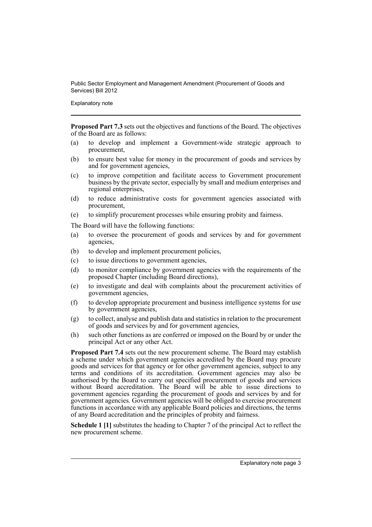Explanatory note

**Proposed Part 7.3** sets out the objectives and functions of the Board. The objectives of the Board are as follows:

- (a) to develop and implement a Government-wide strategic approach to procurement,
- (b) to ensure best value for money in the procurement of goods and services by and for government agencies,
- (c) to improve competition and facilitate access to Government procurement business by the private sector, especially by small and medium enterprises and regional enterprises,
- (d) to reduce administrative costs for government agencies associated with procurement,
- (e) to simplify procurement processes while ensuring probity and fairness.

The Board will have the following functions:

- (a) to oversee the procurement of goods and services by and for government agencies,
- (b) to develop and implement procurement policies,
- (c) to issue directions to government agencies,
- (d) to monitor compliance by government agencies with the requirements of the proposed Chapter (including Board directions),
- (e) to investigate and deal with complaints about the procurement activities of government agencies,
- (f) to develop appropriate procurement and business intelligence systems for use by government agencies,
- (g) to collect, analyse and publish data and statistics in relation to the procurement of goods and services by and for government agencies,
- (h) such other functions as are conferred or imposed on the Board by or under the principal Act or any other Act.

**Proposed Part 7.4** sets out the new procurement scheme. The Board may establish a scheme under which government agencies accredited by the Board may procure goods and services for that agency or for other government agencies, subject to any terms and conditions of its accreditation. Government agencies may also be authorised by the Board to carry out specified procurement of goods and services without Board accreditation. The Board will be able to issue directions to government agencies regarding the procurement of goods and services by and for government agencies. Government agencies will be obliged to exercise procurement functions in accordance with any applicable Board policies and directions, the terms of any Board accreditation and the principles of probity and fairness.

**Schedule 1 [1]** substitutes the heading to Chapter 7 of the principal Act to reflect the new procurement scheme.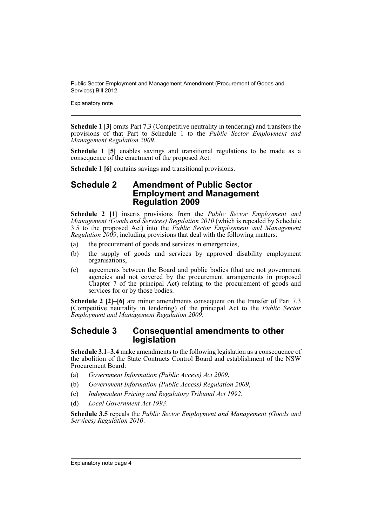Explanatory note

**Schedule 1 [3]** omits Part 7.3 (Competitive neutrality in tendering) and transfers the provisions of that Part to Schedule 1 to the *Public Sector Employment and Management Regulation 2009*.

**Schedule 1 [5]** enables savings and transitional regulations to be made as a consequence of the enactment of the proposed Act.

**Schedule 1 [6]** contains savings and transitional provisions.

### **Schedule 2 Amendment of Public Sector Employment and Management Regulation 2009**

**Schedule 2 [1]** inserts provisions from the *Public Sector Employment and Management (Goods and Services) Regulation 2010* (which is repealed by Schedule 3.5 to the proposed Act) into the *Public Sector Employment and Management Regulation 2009*, including provisions that deal with the following matters:

- (a) the procurement of goods and services in emergencies,
- (b) the supply of goods and services by approved disability employment organisations,
- (c) agreements between the Board and public bodies (that are not government agencies and not covered by the procurement arrangements in proposed Chapter 7 of the principal Act) relating to the procurement of goods and services for or by those bodies.

**Schedule 2 [2]–[6]** are minor amendments consequent on the transfer of Part 7.3 (Competitive neutrality in tendering) of the principal Act to the *Public Sector Employment and Management Regulation 2009*.

## **Schedule 3 Consequential amendments to other legislation**

**Schedule 3.1–3.4** make amendments to the following legislation as a consequence of the abolition of the State Contracts Control Board and establishment of the NSW Procurement Board:

- (a) *Government Information (Public Access) Act 2009*,
- (b) *Government Information (Public Access) Regulation 2009*,
- (c) *Independent Pricing and Regulatory Tribunal Act 1992*,
- (d) *Local Government Act 1993*.

**Schedule 3.5** repeals the *Public Sector Employment and Management (Goods and Services) Regulation 2010*.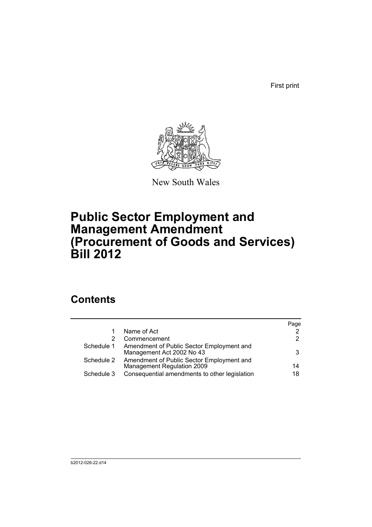First print



New South Wales

# **Public Sector Employment and Management Amendment (Procurement of Goods and Services) Bill 2012**

## **Contents**

|            |                                                                         | Page |
|------------|-------------------------------------------------------------------------|------|
|            | Name of Act                                                             | 2    |
|            | Commencement                                                            | 2    |
| Schedule 1 | Amendment of Public Sector Employment and<br>Management Act 2002 No 43  | 3    |
| Schedule 2 | Amendment of Public Sector Employment and<br>Management Regulation 2009 | 14   |
| Schedule 3 | Consequential amendments to other legislation                           | 18   |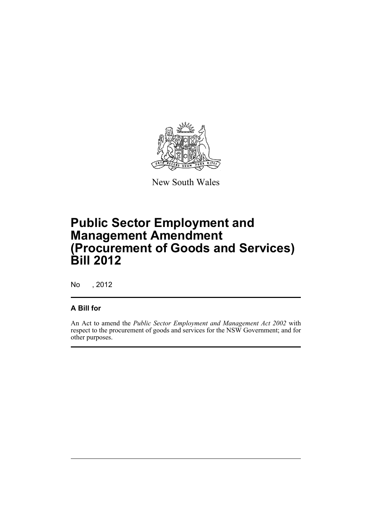

New South Wales

# **Public Sector Employment and Management Amendment (Procurement of Goods and Services) Bill 2012**

No , 2012

## **A Bill for**

An Act to amend the *Public Sector Employment and Management Act 2002* with respect to the procurement of goods and services for the NSW Government; and for other purposes.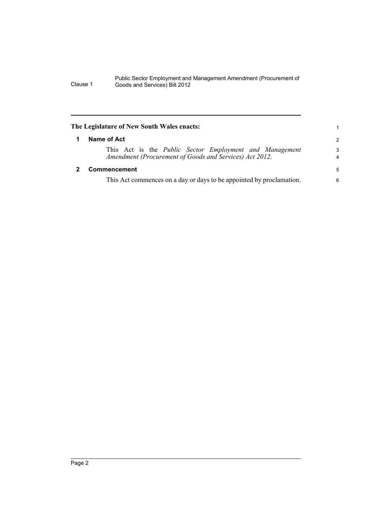### <span id="page-7-0"></span>**The Legislature of New South Wales enacts:**

This Act is the *Public Sector Employment and Management Amendment (Procurement of Goods and Services) Act 2012*.

#### <span id="page-7-1"></span>**2 Commencement**

This Act commences on a day or days to be appointed by proclamation.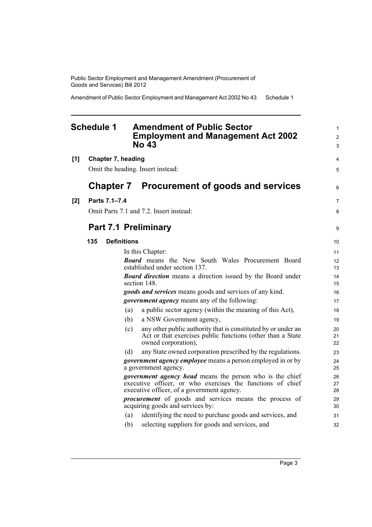Amendment of Public Sector Employment and Management Act 2002 No 43 Schedule 1

### <span id="page-8-0"></span>**Schedule 1 Amendment of Public Sector Employment and Management Act 2002 No 43**

**[1] Chapter 7, heading** Omit the heading. Insert instead:

## **Chapter 7 Procurement of goods and services**

| [2] | Parts 7.1-7.4 |
|-----|---------------|
|     |               |

Omit Parts 7.1 and 7.2. Insert instead:

## **Part 7.1 Preliminary**

#### **135 Definitions** In this Chapter: *Board* means the New South Wales Procurement Board established under section 137. *Board direction* means a direction issued by the Board under section 148. *goods and services* means goods and services of any kind. *government agency* means any of the following: (a) a public sector agency (within the meaning of this Act), (b) a NSW Government agency, (c) any other public authority that is constituted by or under an Act or that exercises public functions (other than a State owned corporation), (d) any State owned corporation prescribed by the regulations. *government agency employee* means a person employed in or by a government agency. *government agency head* means the person who is the chief executive officer, or who exercises the functions of chief executive officer, of a government agency. *procurement* of goods and services means the process of acquiring goods and services by: (a) identifying the need to purchase goods and services, and (b) selecting suppliers for goods and services, and 10 11 12 13 14 15 16 17 18 19 20 21 22 23 24 25 26 27 28 29 30 31 32

1 2 3

4 5

6

7 8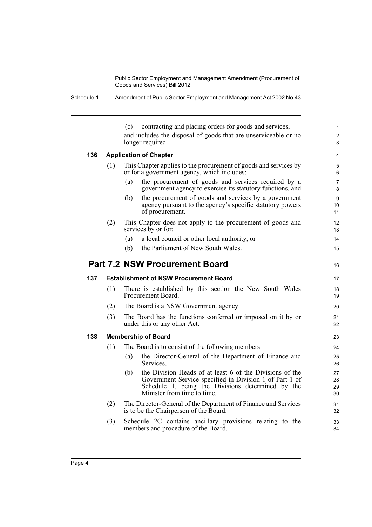Schedule 1 Amendment of Public Sector Employment and Management Act 2002 No 43

(c) contracting and placing orders for goods and services, and includes the disposal of goods that are unserviceable or no longer required. **136 Application of Chapter** (1) This Chapter applies to the procurement of goods and services by or for a government agency, which includes: (a) the procurement of goods and services required by a government agency to exercise its statutory functions, and (b) the procurement of goods and services by a government agency pursuant to the agency's specific statutory powers of procurement. (2) This Chapter does not apply to the procurement of goods and services by or for: (a) a local council or other local authority, or (b) the Parliament of New South Wales. **Part 7.2 NSW Procurement Board 137 Establishment of NSW Procurement Board** (1) There is established by this section the New South Wales Procurement Board. (2) The Board is a NSW Government agency. (3) The Board has the functions conferred or imposed on it by or under this or any other Act. **138 Membership of Board** (1) The Board is to consist of the following members: (a) the Director-General of the Department of Finance and Services, (b) the Division Heads of at least 6 of the Divisions of the Government Service specified in Division 1 of Part 1 of Schedule 1, being the Divisions determined by the Minister from time to time. (2) The Director-General of the Department of Finance and Services is to be the Chairperson of the Board. (3) Schedule 2C contains ancillary provisions relating to the members and procedure of the Board. 1  $\overline{2}$  $\overline{3}$ 4 5 6 7 8 9 10 11 12 13 14 15 16 17 18 19  $20$ 21 22 23 24 25 26 27 28 29 30 31 32 33 34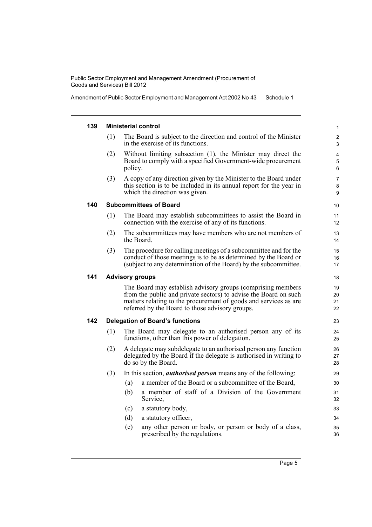Amendment of Public Sector Employment and Management Act 2002 No 43 Schedule 1

#### **139 Ministerial control**

- (1) The Board is subject to the direction and control of the Minister in the exercise of its functions.
- (2) Without limiting subsection (1), the Minister may direct the Board to comply with a specified Government-wide procurement policy.
- (3) A copy of any direction given by the Minister to the Board under this section is to be included in its annual report for the year in which the direction was given.

#### **140 Subcommittees of Board**

- (1) The Board may establish subcommittees to assist the Board in connection with the exercise of any of its functions.
- (2) The subcommittees may have members who are not members of the Board.
- (3) The procedure for calling meetings of a subcommittee and for the conduct of those meetings is to be as determined by the Board or (subject to any determination of the Board) by the subcommittee.

#### **141 Advisory groups**

The Board may establish advisory groups (comprising members from the public and private sectors) to advise the Board on such matters relating to the procurement of goods and services as are referred by the Board to those advisory groups.

#### **142 Delegation of Board's functions**

- (1) The Board may delegate to an authorised person any of its functions, other than this power of delegation.
- (2) A delegate may subdelegate to an authorised person any function delegated by the Board if the delegate is authorised in writing to do so by the Board.
- (3) In this section, *authorised person* means any of the following:
	- (a) a member of the Board or a subcommittee of the Board,
	- (b) a member of staff of a Division of the Government Service,

#### (c) a statutory body,

- (d) a statutory officer,
- (e) any other person or body, or person or body of a class, prescribed by the regulations.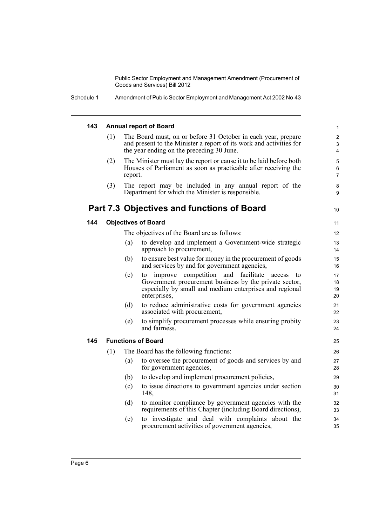#### **143 Annual report of Board**

- (1) The Board must, on or before 31 October in each year, prepare and present to the Minister a report of its work and activities for the year ending on the preceding 30 June.
- (2) The Minister must lay the report or cause it to be laid before both Houses of Parliament as soon as practicable after receiving the report.
- (3) The report may be included in any annual report of the Department for which the Minister is responsible.

## **Part 7.3 Objectives and functions of Board**

#### **144 Objectives of Board**

The objectives of the Board are as follows:

- (a) to develop and implement a Government-wide strategic approach to procurement,
- (b) to ensure best value for money in the procurement of goods and services by and for government agencies,
- (c) to improve competition and facilitate access to Government procurement business by the private sector, especially by small and medium enterprises and regional enterprises,
- (d) to reduce administrative costs for government agencies associated with procurement,
- (e) to simplify procurement processes while ensuring probity and fairness.

#### **145 Functions of Board**

- (1) The Board has the following functions: (a) to oversee the procurement of goods and services by and
	- for government agencies,
	- (b) to develop and implement procurement policies,
	- (c) to issue directions to government agencies under section 148,
	- (d) to monitor compliance by government agencies with the requirements of this Chapter (including Board directions),
	- (e) to investigate and deal with complaints about the procurement activities of government agencies,

10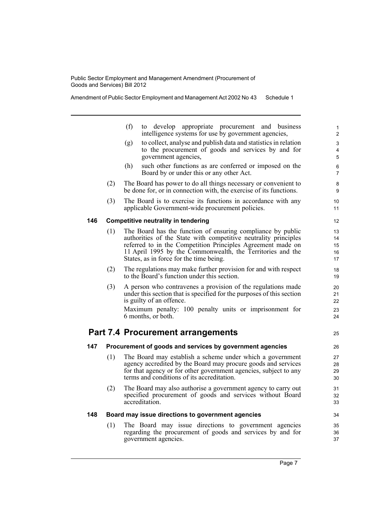Amendment of Public Sector Employment and Management Act 2002 No 43 Schedule 1

|     |     | (f)<br>to develop<br>appropriate procurement and business<br>intelligence systems for use by government agencies,                     | 1<br>$\overline{2}$ |
|-----|-----|---------------------------------------------------------------------------------------------------------------------------------------|---------------------|
|     |     | to collect, analyse and publish data and statistics in relation<br>(g)                                                                | 3                   |
|     |     | to the procurement of goods and services by and for                                                                                   | 4                   |
|     |     | government agencies,                                                                                                                  | 5                   |
|     |     | (h)<br>such other functions as are conferred or imposed on the<br>Board by or under this or any other Act.                            | 6<br>$\overline{7}$ |
|     | (2) | The Board has power to do all things necessary or convenient to<br>be done for, or in connection with, the exercise of its functions. | 8<br>9              |
|     | (3) | The Board is to exercise its functions in accordance with any<br>applicable Government-wide procurement policies.                     | 10<br>11            |
| 146 |     | <b>Competitive neutrality in tendering</b>                                                                                            | 12                  |
|     | (1) | The Board has the function of ensuring compliance by public                                                                           | 13                  |
|     |     | authorities of the State with competitive neutrality principles                                                                       | 14                  |
|     |     | referred to in the Competition Principles Agreement made on                                                                           | 15                  |
|     |     | 11 April 1995 by the Commonwealth, the Territories and the                                                                            | 16                  |
|     |     | States, as in force for the time being.                                                                                               | 17                  |
|     | (2) | The regulations may make further provision for and with respect<br>to the Board's function under this section.                        | 18<br>19            |
|     | (3) | A person who contravenes a provision of the regulations made                                                                          | 20                  |
|     |     | under this section that is specified for the purposes of this section                                                                 | 21                  |
|     |     | is guilty of an offence.                                                                                                              | 22                  |
|     |     | Maximum penalty: 100 penalty units or imprisonment for                                                                                | 23                  |
|     |     | 6 months, or both.                                                                                                                    | 24                  |
|     |     | <b>Part 7.4 Procurement arrangements</b>                                                                                              | 25                  |
| 147 |     | Procurement of goods and services by government agencies                                                                              | 26                  |
|     | (1) | The Board may establish a scheme under which a government                                                                             | 27                  |
|     |     | agency accredited by the Board may procure goods and services                                                                         | 28                  |
|     |     | for that agency or for other government agencies, subject to any                                                                      | 29                  |
|     |     | terms and conditions of its accreditation.                                                                                            | 30                  |
|     | (2) | The Board may also authorise a government agency to carry out                                                                         | 31                  |
|     |     | specified procurement of goods and services without Board                                                                             | 32                  |
|     |     | accreditation.                                                                                                                        | 33                  |
| 148 |     | Board may issue directions to government agencies                                                                                     | 34                  |
|     | (1) | The Board may issue directions to government agencies                                                                                 | 35                  |
|     |     | regarding the procurement of goods and services by and for                                                                            | 36                  |
|     |     | government agencies.                                                                                                                  | 37                  |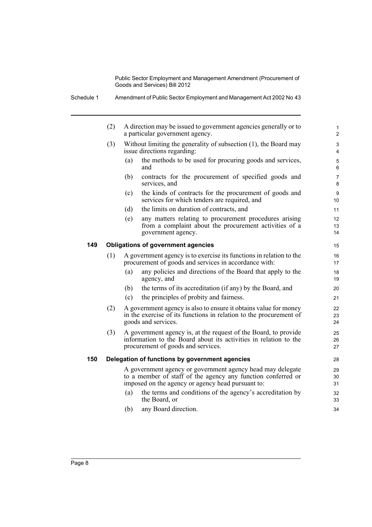|     | (2) |     | A direction may be issued to government agencies generally or to<br>a particular government agency.                                                                             |
|-----|-----|-----|---------------------------------------------------------------------------------------------------------------------------------------------------------------------------------|
|     | (3) |     | Without limiting the generality of subsection (1), the Board may<br>issue directions regarding:                                                                                 |
|     |     | (a) | the methods to be used for procuring goods and services,<br>and                                                                                                                 |
|     |     | (b) | contracts for the procurement of specified goods and<br>services, and                                                                                                           |
|     |     | (c) | the kinds of contracts for the procurement of goods and<br>services for which tenders are required, and                                                                         |
|     |     | (d) | the limits on duration of contracts, and                                                                                                                                        |
|     |     | (e) | any matters relating to procurement procedures arising<br>from a complaint about the procurement activities of a<br>government agency.                                          |
| 149 |     |     | <b>Obligations of government agencies</b>                                                                                                                                       |
|     | (1) |     | A government agency is to exercise its functions in relation to the<br>procurement of goods and services in accordance with:                                                    |
|     |     | (a) | any policies and directions of the Board that apply to the<br>agency, and                                                                                                       |
|     |     | (b) | the terms of its accreditation (if any) by the Board, and                                                                                                                       |
|     |     | (c) | the principles of probity and fairness.                                                                                                                                         |
|     | (2) |     | A government agency is also to ensure it obtains value for money<br>in the exercise of its functions in relation to the procurement of<br>goods and services.                   |
|     | (3) |     | A government agency is, at the request of the Board, to provide<br>information to the Board about its activities in relation to the<br>procurement of goods and services.       |
| 150 |     |     | Delegation of functions by government agencies                                                                                                                                  |
|     |     |     | A government agency or government agency head may delegate<br>to a member of staff of the agency any function conferred or<br>imposed on the agency or agency head pursuant to: |
|     |     | (a) | the terms and conditions of the agency's accreditation by<br>the Board, or                                                                                                      |
|     |     | (b) | any Board direction.                                                                                                                                                            |
|     |     |     |                                                                                                                                                                                 |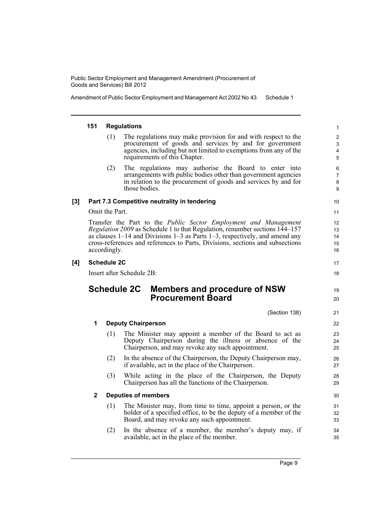Amendment of Public Sector Employment and Management Act 2002 No 43 Schedule 1

#### **151 Regulations**

- (1) The regulations may make provision for and with respect to the procurement of goods and services by and for government agencies, including but not limited to exemptions from any of the requirements of this Chapter.
- (2) The regulations may authorise the Board to enter into arrangements with public bodies other than government agencies in relation to the procurement of goods and services by and for those bodies.

#### **[3] Part 7.3 Competitive neutrality in tendering**

Omit the Part.

Transfer the Part to the *Public Sector Employment and Management Regulation 2009* as Schedule 1 to that Regulation, renumber sections 144–157 as clauses 1–14 and Divisions 1–3 as Parts 1–3, respectively, and amend any cross-references and references to Parts, Divisions, sections and subsections accordingly.

#### **[4] Schedule 2C**

Insert after Schedule 2B:

## **Schedule 2C Members and procedure of NSW Procurement Board**

(Section 138)

17 18

19 20

| 1 | <b>Deputy Chairperson</b> |                                                                                                                      |          |  |  |  |
|---|---------------------------|----------------------------------------------------------------------------------------------------------------------|----------|--|--|--|
|   | (1)                       | The Minister may appoint a member of the Board to act as                                                             | 23       |  |  |  |
|   |                           | Deputy Chairperson during the illness or absence of the<br>Chairperson, and may revoke any such appointment.         | 24<br>25 |  |  |  |
|   | (2)                       | In the absence of the Chairperson, the Deputy Chairperson may,<br>if available, act in the place of the Chairperson. | 26<br>27 |  |  |  |
|   | (3)                       | While acting in the place of the Chairperson, the Deputy<br>Chairperson has all the functions of the Chairperson.    | 28<br>29 |  |  |  |
| 2 |                           | <b>Deputies of members</b>                                                                                           | 30       |  |  |  |
|   | (1)                       | The Minister may, from time to time, appoint a person, or the                                                        | 31       |  |  |  |
|   |                           | holder of a specified office, to be the deputy of a member of the<br>Board, and may revoke any such appointment.     | 32<br>33 |  |  |  |
|   | (2)                       | In the absence of a member, the member's deputy may, if<br>available, act in the place of the member.                | 34       |  |  |  |
|   |                           |                                                                                                                      | 35       |  |  |  |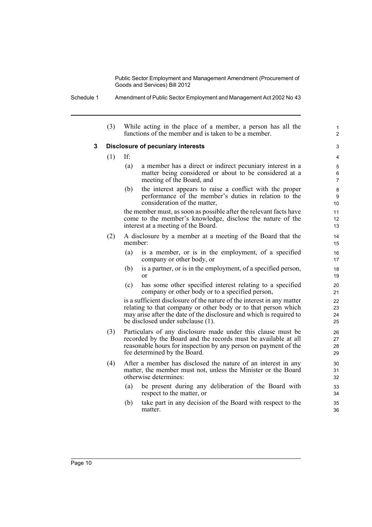Schedule 1 Amendment of Public Sector Employment and Management Act 2002 No 43

(3) While acting in the place of a member, a person has all the functions of the member and is taken to be a member.

#### **3 Disclosure of pecuniary interests**

- (1) If:
	- (a) a member has a direct or indirect pecuniary interest in a matter being considered or about to be considered at a meeting of the Board, and

1  $\overline{2}$ 

(b) the interest appears to raise a conflict with the proper performance of the member's duties in relation to the consideration of the matter,

the member must, as soon as possible after the relevant facts have come to the member's knowledge, disclose the nature of the interest at a meeting of the Board.

- (2) A disclosure by a member at a meeting of the Board that the member:
	- (a) is a member, or is in the employment, of a specified company or other body, or
	- (b) is a partner, or is in the employment, of a specified person, or
	- (c) has some other specified interest relating to a specified company or other body or to a specified person,

is a sufficient disclosure of the nature of the interest in any matter relating to that company or other body or to that person which may arise after the date of the disclosure and which is required to be disclosed under subclause (1).

- (3) Particulars of any disclosure made under this clause must be recorded by the Board and the records must be available at all reasonable hours for inspection by any person on payment of the fee determined by the Board.
- (4) After a member has disclosed the nature of an interest in any matter, the member must not, unless the Minister or the Board otherwise determines:
	- (a) be present during any deliberation of the Board with respect to the matter, or
	- (b) take part in any decision of the Board with respect to the matter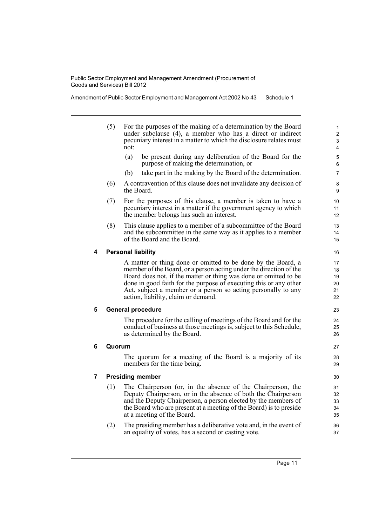Amendment of Public Sector Employment and Management Act 2002 No 43 Schedule 1

- (5) For the purposes of the making of a determination by the Board under subclause (4), a member who has a direct or indirect pecuniary interest in a matter to which the disclosure relates must not:
	- (a) be present during any deliberation of the Board for the purpose of making the determination, or
	- (b) take part in the making by the Board of the determination.
- (6) A contravention of this clause does not invalidate any decision of the Board.
- (7) For the purposes of this clause, a member is taken to have a pecuniary interest in a matter if the government agency to which the member belongs has such an interest.
- (8) This clause applies to a member of a subcommittee of the Board and the subcommittee in the same way as it applies to a member of the Board and the Board.

#### **4 Personal liability**

A matter or thing done or omitted to be done by the Board, a member of the Board, or a person acting under the direction of the Board does not, if the matter or thing was done or omitted to be done in good faith for the purpose of executing this or any other Act, subject a member or a person so acting personally to any action, liability, claim or demand.

#### **5 General procedure**

The procedure for the calling of meetings of the Board and for the conduct of business at those meetings is, subject to this Schedule, as determined by the Board.

#### **6 Quorum**

The quorum for a meeting of the Board is a majority of its members for the time being.

#### **7 Presiding member**

- (1) The Chairperson (or, in the absence of the Chairperson, the Deputy Chairperson, or in the absence of both the Chairperson and the Deputy Chairperson, a person elected by the members of the Board who are present at a meeting of the Board) is to preside at a meeting of the Board.
- (2) The presiding member has a deliberative vote and, in the event of an equality of votes, has a second or casting vote.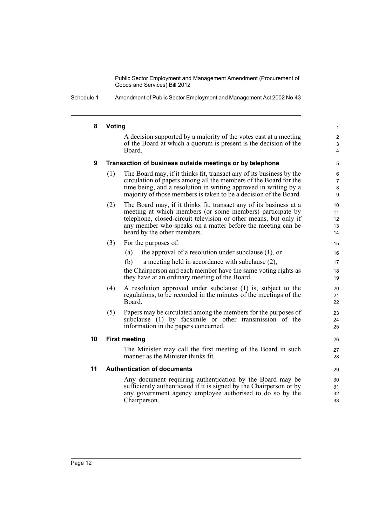Schedule 1 Amendment of Public Sector Employment and Management Act 2002 No 43

#### **8 Voting**

A decision supported by a majority of the votes cast at a meeting of the Board at which a quorum is present is the decision of the Board.

#### **9 Transaction of business outside meetings or by telephone**

- (1) The Board may, if it thinks fit, transact any of its business by the circulation of papers among all the members of the Board for the time being, and a resolution in writing approved in writing by a majority of those members is taken to be a decision of the Board.
- (2) The Board may, if it thinks fit, transact any of its business at a meeting at which members (or some members) participate by telephone, closed-circuit television or other means, but only if any member who speaks on a matter before the meeting can be heard by the other members.
- (3) For the purposes of:
	- (a) the approval of a resolution under subclause (1), or
	- (b) a meeting held in accordance with subclause (2),

the Chairperson and each member have the same voting rights as they have at an ordinary meeting of the Board.

- (4) A resolution approved under subclause (1) is, subject to the regulations, to be recorded in the minutes of the meetings of the Board.
- (5) Papers may be circulated among the members for the purposes of subclause (1) by facsimile or other transmission of the information in the papers concerned.

#### **10 First meeting**

The Minister may call the first meeting of the Board in such manner as the Minister thinks fit.

#### **11 Authentication of documents**

Any document requiring authentication by the Board may be sufficiently authenticated if it is signed by the Chairperson or by any government agency employee authorised to do so by the Chairperson.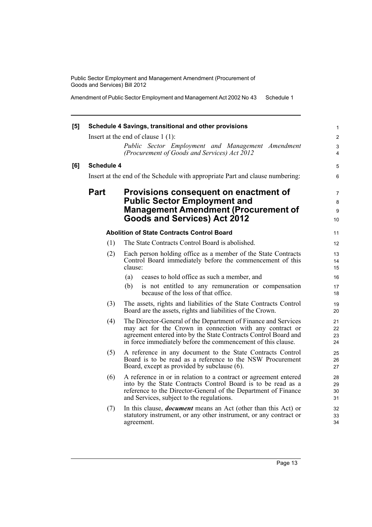Amendment of Public Sector Employment and Management Act 2002 No 43 Schedule 1

| [5] |                   | Schedule 4 Savings, transitional and other provisions<br>Insert at the end of clause $1(1)$ :                                                                                                                                                                 | $\mathbf{1}$<br>$\overline{2}$ |
|-----|-------------------|---------------------------------------------------------------------------------------------------------------------------------------------------------------------------------------------------------------------------------------------------------------|--------------------------------|
|     |                   | Public Sector Employment and Management Amendment<br>(Procurement of Goods and Services) Act 2012                                                                                                                                                             | 3<br>$\overline{4}$            |
| [6] | <b>Schedule 4</b> |                                                                                                                                                                                                                                                               | 5                              |
|     |                   | Insert at the end of the Schedule with appropriate Part and clause numbering:                                                                                                                                                                                 | 6                              |
|     | <b>Part</b>       | Provisions consequent on enactment of<br><b>Public Sector Employment and</b><br><b>Management Amendment (Procurement of</b><br><b>Goods and Services) Act 2012</b>                                                                                            | $\overline{7}$<br>8<br>9<br>10 |
|     |                   | <b>Abolition of State Contracts Control Board</b>                                                                                                                                                                                                             | 11                             |
|     | (1)               | The State Contracts Control Board is abolished.                                                                                                                                                                                                               | 12                             |
|     | (2)               | Each person holding office as a member of the State Contracts<br>Control Board immediately before the commencement of this<br>clause:                                                                                                                         | 13<br>14<br>15                 |
|     |                   | ceases to hold office as such a member, and<br>(a)                                                                                                                                                                                                            | 16                             |
|     |                   | (b)<br>is not entitled to any remuneration or compensation<br>because of the loss of that office.                                                                                                                                                             | 17<br>18                       |
|     | (3)               | The assets, rights and liabilities of the State Contracts Control<br>Board are the assets, rights and liabilities of the Crown.                                                                                                                               | 19<br>20                       |
|     | (4)               | The Director-General of the Department of Finance and Services<br>may act for the Crown in connection with any contract or<br>agreement entered into by the State Contracts Control Board and<br>in force immediately before the commencement of this clause. | 21<br>22<br>23<br>24           |
|     | (5)               | A reference in any document to the State Contracts Control<br>Board is to be read as a reference to the NSW Procurement<br>Board, except as provided by subclause (6).                                                                                        | 25<br>26<br>27                 |
|     | (6)               | A reference in or in relation to a contract or agreement entered<br>into by the State Contracts Control Board is to be read as a<br>reference to the Director-General of the Department of Finance<br>and Services, subject to the regulations.               | 28<br>29<br>30<br>31           |
|     | (7)               | In this clause, <i>document</i> means an Act (other than this Act) or<br>statutory instrument, or any other instrument, or any contract or<br>agreement.                                                                                                      | 32<br>33<br>34                 |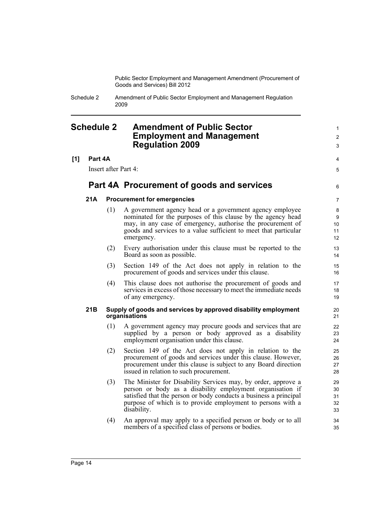> 1  $\mathfrak{p}$ 3

4 5

6

Schedule 2 Amendment of Public Sector Employment and Management Regulation 2009

## <span id="page-19-0"></span>**Schedule 2 Amendment of Public Sector Employment and Management Regulation 2009**

#### **[1] Part 4A**

Insert after Part 4:

### **Part 4A Procurement of goods and services**

#### **21A Procurement for emergencies**

- (1) A government agency head or a government agency employee nominated for the purposes of this clause by the agency head may, in any case of emergency, authorise the procurement of goods and services to a value sufficient to meet that particular emergency.
- (2) Every authorisation under this clause must be reported to the Board as soon as possible.
- (3) Section 149 of the Act does not apply in relation to the procurement of goods and services under this clause.
- (4) This clause does not authorise the procurement of goods and services in excess of those necessary to meet the immediate needs of any emergency.

#### **21B Supply of goods and services by approved disability employment organisations**

- (1) A government agency may procure goods and services that are supplied by a person or body approved as a disability employment organisation under this clause.
- (2) Section 149 of the Act does not apply in relation to the procurement of goods and services under this clause. However, procurement under this clause is subject to any Board direction issued in relation to such procurement.
- (3) The Minister for Disability Services may, by order, approve a person or body as a disability employment organisation if satisfied that the person or body conducts a business a principal purpose of which is to provide employment to persons with a disability.
- (4) An approval may apply to a specified person or body or to all members of a specified class of persons or bodies.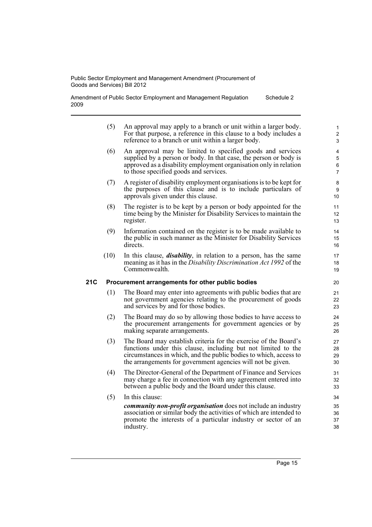Amendment of Public Sector Employment and Management Regulation 2009 Schedule 2

| 1<br>$\overline{2}$<br>3      | An approval may apply to a branch or unit within a larger body.<br>For that purpose, a reference in this clause to a body includes a<br>reference to a branch or unit within a larger body.                                                                           | (5)  |     |
|-------------------------------|-----------------------------------------------------------------------------------------------------------------------------------------------------------------------------------------------------------------------------------------------------------------------|------|-----|
| 4<br>5<br>6<br>$\overline{7}$ | An approval may be limited to specified goods and services<br>supplied by a person or body. In that case, the person or body is<br>approved as a disability employment organisation only in relation<br>to those specified goods and services.                        | (6)  |     |
| 8<br>9<br>10                  | A register of disability employment organisations is to be kept for<br>the purposes of this clause and is to include particulars of<br>approvals given under this clause.                                                                                             | (7)  |     |
| 11<br>12<br>13                | The register is to be kept by a person or body appointed for the<br>time being by the Minister for Disability Services to maintain the<br>register.                                                                                                                   | (8)  |     |
| 14<br>15<br>16                | Information contained on the register is to be made available to<br>the public in such manner as the Minister for Disability Services<br>directs.                                                                                                                     | (9)  |     |
| 17<br>18<br>19                | In this clause, <i>disability</i> , in relation to a person, has the same<br>meaning as it has in the <i>Disability Discrimination Act 1992</i> of the<br>Commonwealth.                                                                                               | (10) |     |
| 20                            | Procurement arrangements for other public bodies                                                                                                                                                                                                                      |      | 21C |
| 21<br>22<br>23                | The Board may enter into agreements with public bodies that are<br>not government agencies relating to the procurement of goods<br>and services by and for those bodies.                                                                                              | (1)  |     |
| 24<br>25<br>26                | The Board may do so by allowing those bodies to have access to<br>the procurement arrangements for government agencies or by<br>making separate arrangements.                                                                                                         | (2)  |     |
| 27<br>28<br>29<br>30          | The Board may establish criteria for the exercise of the Board's<br>functions under this clause, including but not limited to the<br>circumstances in which, and the public bodies to which, access to<br>the arrangements for government agencies will not be given. | (3)  |     |
| 31<br>32<br>33                | The Director-General of the Department of Finance and Services<br>may charge a fee in connection with any agreement entered into<br>between a public body and the Board under this clause.                                                                            | (4)  |     |
| 34                            | In this clause:                                                                                                                                                                                                                                                       | (5)  |     |
| 35<br>36<br>37<br>38          | <i>community non-profit organisation</i> does not include an industry<br>association or similar body the activities of which are intended to<br>promote the interests of a particular industry or sector of an<br>industry.                                           |      |     |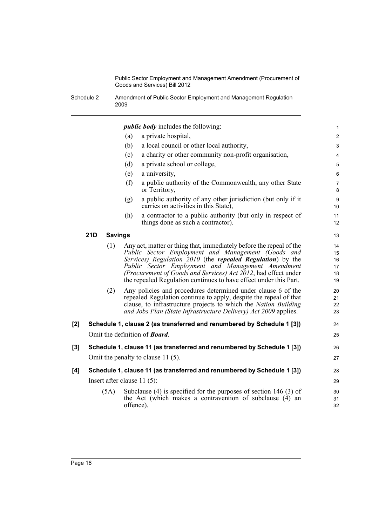Schedule 2 Amendment of Public Sector Employment and Management Regulation 2009

|       |     |                |           | <i>public body</i> includes the following:                                                                                                                                                                                                                                                                                                                                          | $\mathbf{1}$                     |
|-------|-----|----------------|-----------|-------------------------------------------------------------------------------------------------------------------------------------------------------------------------------------------------------------------------------------------------------------------------------------------------------------------------------------------------------------------------------------|----------------------------------|
|       |     |                | (a)       | a private hospital,                                                                                                                                                                                                                                                                                                                                                                 | 2                                |
|       |     |                | (b)       | a local council or other local authority,                                                                                                                                                                                                                                                                                                                                           | $\mathsf 3$                      |
|       |     |                | (c)       | a charity or other community non-profit organisation,                                                                                                                                                                                                                                                                                                                               | 4                                |
|       |     |                | (d)       | a private school or college,                                                                                                                                                                                                                                                                                                                                                        | $\mathbf 5$                      |
|       |     |                | (e)       | a university,                                                                                                                                                                                                                                                                                                                                                                       | $\,6\,$                          |
|       |     |                | (f)       | a public authority of the Commonwealth, any other State<br>or Territory,                                                                                                                                                                                                                                                                                                            | $\overline{7}$<br>8              |
|       |     |                | (g)       | a public authority of any other jurisdiction (but only if it<br>carries on activities in this State),                                                                                                                                                                                                                                                                               | $\boldsymbol{9}$<br>10           |
|       |     |                | (h)       | a contractor to a public authority (but only in respect of<br>things done as such a contractor).                                                                                                                                                                                                                                                                                    | 11<br>12                         |
|       | 21D | <b>Savings</b> |           |                                                                                                                                                                                                                                                                                                                                                                                     | 13                               |
|       |     | (1)            |           | Any act, matter or thing that, immediately before the repeal of the<br>Public Sector Employment and Management (Goods and<br>Services) Regulation 2010 (the repealed Regulation) by the<br>Public Sector Employment and Management Amendment<br>(Procurement of Goods and Services) Act 2012, had effect under<br>the repealed Regulation continues to have effect under this Part. | 14<br>15<br>16<br>17<br>18<br>19 |
|       |     | (2)            |           | Any policies and procedures determined under clause 6 of the<br>repealed Regulation continue to apply, despite the repeal of that<br>clause, to infrastructure projects to which the Nation Building<br>and Jobs Plan (State Infrastructure Delivery) Act 2009 applies.                                                                                                             | 20<br>21<br>22<br>23             |
| [2]   |     |                |           | Schedule 1, clause 2 (as transferred and renumbered by Schedule 1 [3])                                                                                                                                                                                                                                                                                                              | 24                               |
|       |     |                |           | Omit the definition of <b>Board</b> .                                                                                                                                                                                                                                                                                                                                               | 25                               |
| $[3]$ |     |                |           | Schedule 1, clause 11 (as transferred and renumbered by Schedule 1 [3])                                                                                                                                                                                                                                                                                                             | 26                               |
|       |     |                |           | Omit the penalty to clause 11 (5).                                                                                                                                                                                                                                                                                                                                                  | 27                               |
| [4]   |     |                |           | Schedule 1, clause 11 (as transferred and renumbered by Schedule 1 [3])                                                                                                                                                                                                                                                                                                             | 28                               |
|       |     |                |           | Insert after clause $11(5)$ :                                                                                                                                                                                                                                                                                                                                                       | 29                               |
|       |     | (5A)           | offence). | Subclause $(4)$ is specified for the purposes of section 146 $(3)$ of<br>the Act (which makes a contravention of subclause (4) an                                                                                                                                                                                                                                                   | 30<br>31<br>32                   |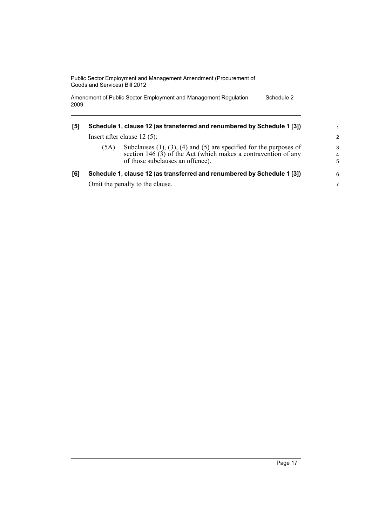Amendment of Public Sector Employment and Management Regulation 2009 Schedule 2

| [5] | Schedule 1, clause 12 (as transferred and renumbered by Schedule 1 [3])<br>Insert after clause $12(5)$ : |                                 |                                                                         |
|-----|----------------------------------------------------------------------------------------------------------|---------------------------------|-------------------------------------------------------------------------|
|     |                                                                                                          |                                 |                                                                         |
|     | [6]                                                                                                      |                                 | Schedule 1, clause 12 (as transferred and renumbered by Schedule 1 [3]) |
|     |                                                                                                          | Omit the penalty to the clause. | 7                                                                       |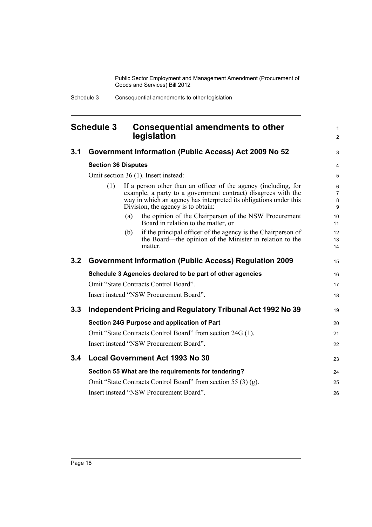> 1 2

3

## <span id="page-23-0"></span>**Schedule 3 Consequential amendments to other legislation**

## **3.1 Government Information (Public Access) Act 2009 No 52**

|     | <b>Section 36 Disputes</b>                                                                                                                                                                                                                         |     |                                                                                                                                     | $\overline{4}$ |
|-----|----------------------------------------------------------------------------------------------------------------------------------------------------------------------------------------------------------------------------------------------------|-----|-------------------------------------------------------------------------------------------------------------------------------------|----------------|
|     |                                                                                                                                                                                                                                                    |     | Omit section 36 (1). Insert instead:                                                                                                | 5              |
|     | If a person other than an officer of the agency (including, for<br>(1)<br>example, a party to a government contract) disagrees with the<br>way in which an agency has interpreted its obligations under this<br>Division, the agency is to obtain: |     |                                                                                                                                     |                |
|     |                                                                                                                                                                                                                                                    | (a) | the opinion of the Chairperson of the NSW Procurement<br>Board in relation to the matter, or                                        | 10<br>11       |
|     |                                                                                                                                                                                                                                                    | (b) | if the principal officer of the agency is the Chairperson of<br>the Board—the opinion of the Minister in relation to the<br>matter. | 12<br>13<br>14 |
| 3.2 | <b>Government Information (Public Access) Regulation 2009</b>                                                                                                                                                                                      |     |                                                                                                                                     | 15             |
|     | Schedule 3 Agencies declared to be part of other agencies                                                                                                                                                                                          |     |                                                                                                                                     |                |
|     |                                                                                                                                                                                                                                                    |     | Omit "State Contracts Control Board".                                                                                               | 17             |
|     |                                                                                                                                                                                                                                                    |     | Insert instead "NSW Procurement Board".                                                                                             | 18             |
| 3.3 |                                                                                                                                                                                                                                                    |     | Independent Pricing and Regulatory Tribunal Act 1992 No 39                                                                          | 19             |
|     |                                                                                                                                                                                                                                                    |     | Section 24G Purpose and application of Part                                                                                         | 20             |
|     |                                                                                                                                                                                                                                                    |     | Omit "State Contracts Control Board" from section 24G (1).                                                                          | 21             |
|     |                                                                                                                                                                                                                                                    |     | Insert instead "NSW Procurement Board".                                                                                             | 22             |
| 3.4 |                                                                                                                                                                                                                                                    |     | <b>Local Government Act 1993 No 30</b>                                                                                              | 23             |
|     |                                                                                                                                                                                                                                                    |     | Section 55 What are the requirements for tendering?                                                                                 | 24             |
|     |                                                                                                                                                                                                                                                    |     | Omit "State Contracts Control Board" from section 55 (3) (g).                                                                       | 25             |
|     |                                                                                                                                                                                                                                                    |     | Insert instead "NSW Procurement Board".                                                                                             | 26             |